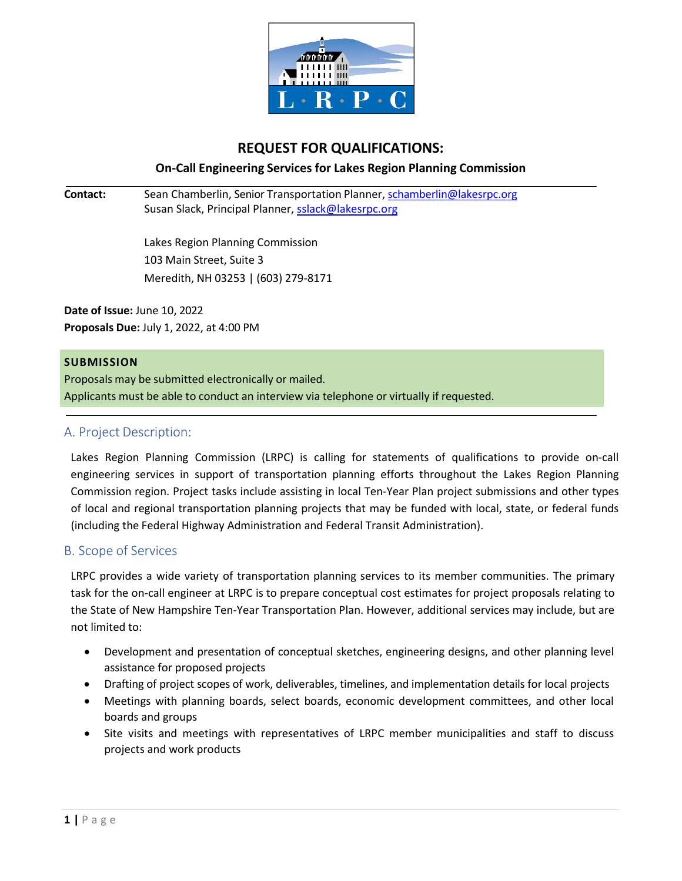

# **REQUEST FOR QUALIFICATIONS:**

**On‐Call Engineering Services for Lakes Region Planning Commission**

**Contact:** Sean Chamberlin, Senior Transportation Planner, schamberlin@lakesrpc.org Susan Slack, Principal Planner, sslack@lakesrpc.org

> Lakes Region Planning Commission 103 Main Street, Suite 3 Meredith, NH 03253 | (603) 279-8171

**Date of Issue:** June 10, 2022 **Proposals Due:** July 1, 2022, at 4:00 PM

#### **SUBMISSION**

Proposals may be submitted electronically or mailed. Applicants must be able to conduct an interview via telephone or virtually if requested.

### A. Project Description:

Lakes Region Planning Commission (LRPC) is calling for statements of qualifications to provide on-call engineering services in support of transportation planning efforts throughout the Lakes Region Planning Commission region. Project tasks include assisting in local Ten-Year Plan project submissions and other types of local and regional transportation planning projects that may be funded with local, state, or federal funds (including the Federal Highway Administration and Federal Transit Administration).

#### B. Scope of Services

LRPC provides a wide variety of transportation planning services to its member communities. The primary task for the on-call engineer at LRPC is to prepare conceptual cost estimates for project proposals relating to the State of New Hampshire Ten-Year Transportation Plan. However, additional services may include, but are not limited to:

- Development and presentation of conceptual sketches, engineering designs, and other planning level assistance for proposed projects
- Drafting of project scopes of work, deliverables, timelines, and implementation details for local projects
- Meetings with planning boards, select boards, economic development committees, and other local boards and groups
- Site visits and meetings with representatives of LRPC member municipalities and staff to discuss projects and work products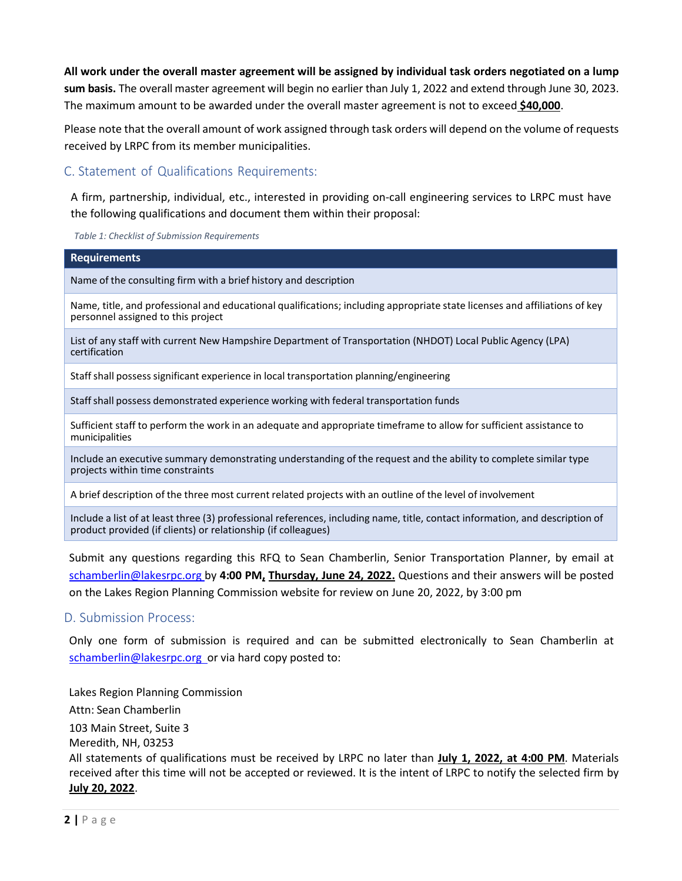**All work under the overall master agreement will be assigned by individual task orders negotiated on a lump sum basis.** The overall master agreement will begin no earlier than July 1, 2022 and extend through June 30, 2023. The maximum amount to be awarded under the overall master agreement is not to exceed **\$40,000**.

Please note that the overall amount of work assigned through task orders will depend on the volume of requests received by LRPC from its member municipalities.

### C. Statement of Qualifications Requirements:

product provided (if clients) or relationship (if colleagues)

A firm, partnership, individual, etc., interested in providing on-call engineering services to LRPC must have the following qualifications and document them within their proposal:

*Table 1: Checklist of Submission Requirements*

| <b>Requirements</b>                                                                                                                                              |
|------------------------------------------------------------------------------------------------------------------------------------------------------------------|
| Name of the consulting firm with a brief history and description                                                                                                 |
| Name, title, and professional and educational qualifications; including appropriate state licenses and affiliations of key<br>personnel assigned to this project |
| List of any staff with current New Hampshire Department of Transportation (NHDOT) Local Public Agency (LPA)<br>certification                                     |
| Staff shall possess significant experience in local transportation planning/engineering                                                                          |
| Staff shall possess demonstrated experience working with federal transportation funds                                                                            |
| Sufficient staff to perform the work in an adequate and appropriate timeframe to allow for sufficient assistance to<br>municipalities                            |
| Include an executive summary demonstrating understanding of the request and the ability to complete similar type<br>projects within time constraints             |
| A brief description of the three most current related projects with an outline of the level of involvement                                                       |
| Include a list of at least three (3) professional references, including name, title, contact information, and description of                                     |

Submit any questions regarding this RFQ to Sean Chamberlin, Senior Transportation Planner, by email at [schamberlin@lakesrpc.org b](mailto:schamberlin@lakesrpc.org)y **4:00 PM, Thursday, June 24, 2022.** Questions and their answers will be posted on the Lakes Region Planning Commission website for review on June 20, 2022, by 3:00 pm

#### D. Submission Process:

Only one form of submission is required and can be submitted electronically to Sean Chamberlin at [schamberlin@lakesrpc.org o](mailto:schamberlin@lakesrpc.org)r via hard copy posted to:

Lakes Region Planning Commission Attn: Sean Chamberlin 103 Main Street, Suite 3 Meredith, NH, 03253 All statements of qualifications must be received by LRPC no later than **July 1, 2022, at 4:00 PM**. Materials received after this time will not be accepted or reviewed. It is the intent of LRPC to notify the selected firm by **July 20, 2022**.